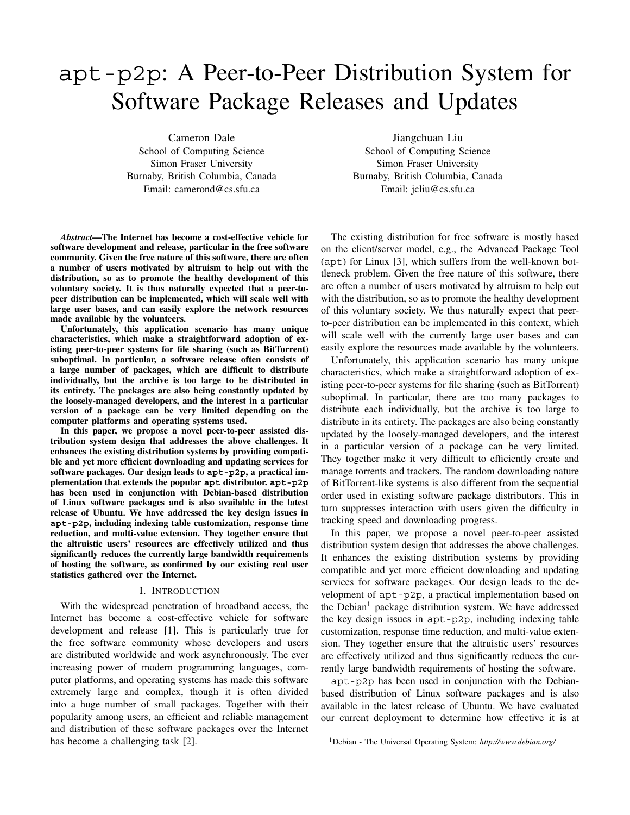# apt-p2p: A Peer-to-Peer Distribution System for Software Package Releases and Updates

Cameron Dale School of Computing Science Simon Fraser University Burnaby, British Columbia, Canada Email: camerond@cs.sfu.ca

*Abstract***—The Internet has become a cost-effective vehicle for software development and release, particular in the free software community. Given the free nature of this software, there are often a number of users motivated by altruism to help out with the distribution, so as to promote the healthy development of this voluntary society. It is thus naturally expected that a peer-topeer distribution can be implemented, which will scale well with large user bases, and can easily explore the network resources made available by the volunteers.**

**Unfortunately, this application scenario has many unique characteristics, which make a straightforward adoption of existing peer-to-peer systems for file sharing (such as BitTorrent) suboptimal. In particular, a software release often consists of a large number of packages, which are difficult to distribute individually, but the archive is too large to be distributed in its entirety. The packages are also being constantly updated by the loosely-managed developers, and the interest in a particular version of a package can be very limited depending on the computer platforms and operating systems used.**

**In this paper, we propose a novel peer-to-peer assisted distribution system design that addresses the above challenges. It enhances the existing distribution systems by providing compatible and yet more efficient downloading and updating services for software packages. Our design leads to apt-p2p, a practical implementation that extends the popular apt distributor. apt-p2p has been used in conjunction with Debian-based distribution of Linux software packages and is also available in the latest release of Ubuntu. We have addressed the key design issues in apt-p2p, including indexing table customization, response time reduction, and multi-value extension. They together ensure that the altruistic users' resources are effectively utilized and thus significantly reduces the currently large bandwidth requirements of hosting the software, as confirmed by our existing real user statistics gathered over the Internet.**

#### I. INTRODUCTION

With the widespread penetration of broadband access, the Internet has become a cost-effective vehicle for software development and release [1]. This is particularly true for the free software community whose developers and users are distributed worldwide and work asynchronously. The ever increasing power of modern programming languages, computer platforms, and operating systems has made this software extremely large and complex, though it is often divided into a huge number of small packages. Together with their popularity among users, an efficient and reliable management and distribution of these software packages over the Internet has become a challenging task [2].

Jiangchuan Liu School of Computing Science Simon Fraser University Burnaby, British Columbia, Canada Email: jcliu@cs.sfu.ca

The existing distribution for free software is mostly based on the client/server model, e.g., the Advanced Package Tool (apt) for Linux [3], which suffers from the well-known bottleneck problem. Given the free nature of this software, there are often a number of users motivated by altruism to help out with the distribution, so as to promote the healthy development of this voluntary society. We thus naturally expect that peerto-peer distribution can be implemented in this context, which will scale well with the currently large user bases and can easily explore the resources made available by the volunteers.

Unfortunately, this application scenario has many unique characteristics, which make a straightforward adoption of existing peer-to-peer systems for file sharing (such as BitTorrent) suboptimal. In particular, there are too many packages to distribute each individually, but the archive is too large to distribute in its entirety. The packages are also being constantly updated by the loosely-managed developers, and the interest in a particular version of a package can be very limited. They together make it very difficult to efficiently create and manage torrents and trackers. The random downloading nature of BitTorrent-like systems is also different from the sequential order used in existing software package distributors. This in turn suppresses interaction with users given the difficulty in tracking speed and downloading progress.

In this paper, we propose a novel peer-to-peer assisted distribution system design that addresses the above challenges. It enhances the existing distribution systems by providing compatible and yet more efficient downloading and updating services for software packages. Our design leads to the development of apt-p2p, a practical implementation based on the Debian<sup>1</sup> package distribution system. We have addressed the key design issues in apt-p2p, including indexing table customization, response time reduction, and multi-value extension. They together ensure that the altruistic users' resources are effectively utilized and thus significantly reduces the currently large bandwidth requirements of hosting the software.

apt-p2p has been used in conjunction with the Debianbased distribution of Linux software packages and is also available in the latest release of Ubuntu. We have evaluated our current deployment to determine how effective it is at

<sup>1</sup>Debian - The Universal Operating System: *http://www.debian.org/*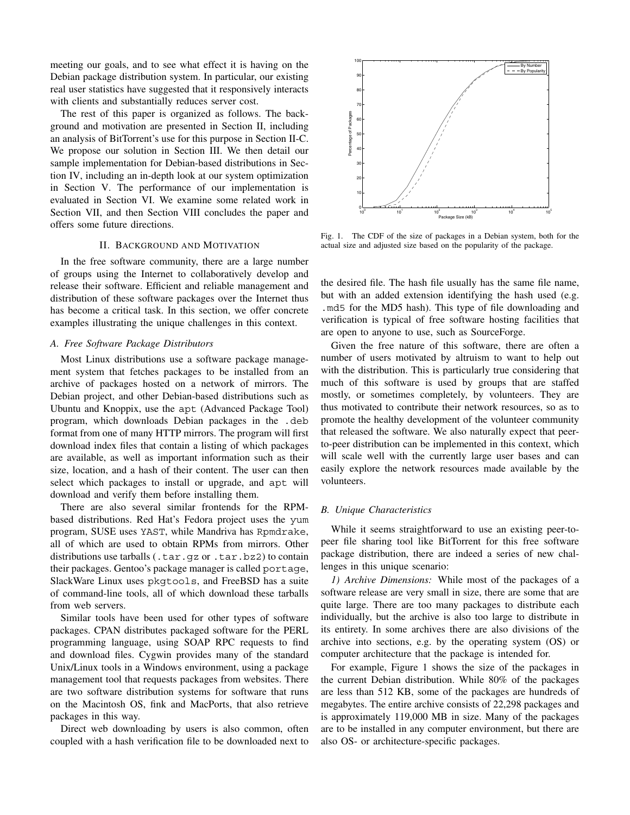meeting our goals, and to see what effect it is having on the Debian package distribution system. In particular, our existing real user statistics have suggested that it responsively interacts with clients and substantially reduces server cost.

The rest of this paper is organized as follows. The background and motivation are presented in Section II, including an analysis of BitTorrent's use for this purpose in Section II-C. We propose our solution in Section III. We then detail our sample implementation for Debian-based distributions in Section IV, including an in-depth look at our system optimization in Section V. The performance of our implementation is evaluated in Section VI. We examine some related work in Section VII, and then Section VIII concludes the paper and offers some future directions.

## II. BACKGROUND AND MOTIVATION

In the free software community, there are a large number of groups using the Internet to collaboratively develop and release their software. Efficient and reliable management and distribution of these software packages over the Internet thus has become a critical task. In this section, we offer concrete examples illustrating the unique challenges in this context.

#### *A. Free Software Package Distributors*

Most Linux distributions use a software package management system that fetches packages to be installed from an archive of packages hosted on a network of mirrors. The Debian project, and other Debian-based distributions such as Ubuntu and Knoppix, use the apt (Advanced Package Tool) program, which downloads Debian packages in the .deb format from one of many HTTP mirrors. The program will first download index files that contain a listing of which packages are available, as well as important information such as their size, location, and a hash of their content. The user can then select which packages to install or upgrade, and apt will download and verify them before installing them.

There are also several similar frontends for the RPMbased distributions. Red Hat's Fedora project uses the yum program, SUSE uses YAST, while Mandriva has Rpmdrake, all of which are used to obtain RPMs from mirrors. Other distributions use tarballs (.tar.gz or .tar.bz2) to contain their packages. Gentoo's package manager is called portage, SlackWare Linux uses pkgtools, and FreeBSD has a suite of command-line tools, all of which download these tarballs from web servers.

Similar tools have been used for other types of software packages. CPAN distributes packaged software for the PERL programming language, using SOAP RPC requests to find and download files. Cygwin provides many of the standard Unix/Linux tools in a Windows environment, using a package management tool that requests packages from websites. There are two software distribution systems for software that runs on the Macintosh OS, fink and MacPorts, that also retrieve packages in this way.

Direct web downloading by users is also common, often coupled with a hash verification file to be downloaded next to



Fig. 1. The CDF of the size of packages in a Debian system, both for the actual size and adjusted size based on the popularity of the package.

the desired file. The hash file usually has the same file name, but with an added extension identifying the hash used (e.g. .md5 for the MD5 hash). This type of file downloading and verification is typical of free software hosting facilities that are open to anyone to use, such as SourceForge.

Given the free nature of this software, there are often a number of users motivated by altruism to want to help out with the distribution. This is particularly true considering that much of this software is used by groups that are staffed mostly, or sometimes completely, by volunteers. They are thus motivated to contribute their network resources, so as to promote the healthy development of the volunteer community that released the software. We also naturally expect that peerto-peer distribution can be implemented in this context, which will scale well with the currently large user bases and can easily explore the network resources made available by the volunteers.

#### *B. Unique Characteristics*

While it seems straightforward to use an existing peer-topeer file sharing tool like BitTorrent for this free software package distribution, there are indeed a series of new challenges in this unique scenario:

*1) Archive Dimensions:* While most of the packages of a software release are very small in size, there are some that are quite large. There are too many packages to distribute each individually, but the archive is also too large to distribute in its entirety. In some archives there are also divisions of the archive into sections, e.g. by the operating system (OS) or computer architecture that the package is intended for.

For example, Figure 1 shows the size of the packages in the current Debian distribution. While 80% of the packages are less than 512 KB, some of the packages are hundreds of megabytes. The entire archive consists of 22,298 packages and is approximately 119,000 MB in size. Many of the packages are to be installed in any computer environment, but there are also OS- or architecture-specific packages.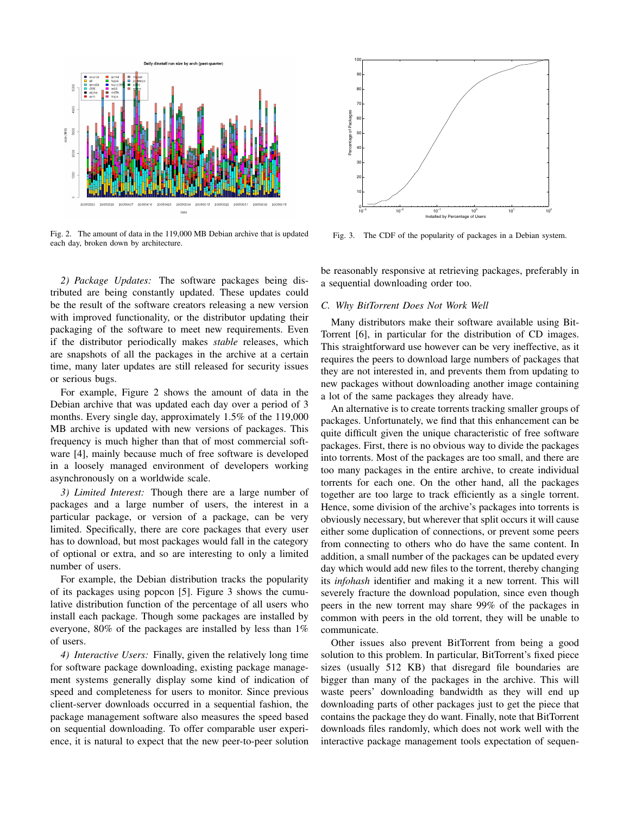

Fig. 2. The amount of data in the 119,000 MB Debian archive that is updated each day, broken down by architecture.

*2) Package Updates:* The software packages being distributed are being constantly updated. These updates could be the result of the software creators releasing a new version with improved functionality, or the distributor updating their packaging of the software to meet new requirements. Even if the distributor periodically makes *stable* releases, which are snapshots of all the packages in the archive at a certain time, many later updates are still released for security issues or serious bugs.

For example, Figure 2 shows the amount of data in the Debian archive that was updated each day over a period of 3 months. Every single day, approximately 1.5% of the 119,000 MB archive is updated with new versions of packages. This frequency is much higher than that of most commercial software [4], mainly because much of free software is developed in a loosely managed environment of developers working asynchronously on a worldwide scale.

*3) Limited Interest:* Though there are a large number of packages and a large number of users, the interest in a particular package, or version of a package, can be very limited. Specifically, there are core packages that every user has to download, but most packages would fall in the category of optional or extra, and so are interesting to only a limited number of users.

For example, the Debian distribution tracks the popularity of its packages using popcon [5]. Figure 3 shows the cumulative distribution function of the percentage of all users who install each package. Though some packages are installed by everyone, 80% of the packages are installed by less than 1% of users.

*4) Interactive Users:* Finally, given the relatively long time for software package downloading, existing package management systems generally display some kind of indication of speed and completeness for users to monitor. Since previous client-server downloads occurred in a sequential fashion, the package management software also measures the speed based on sequential downloading. To offer comparable user experience, it is natural to expect that the new peer-to-peer solution



Fig. 3. The CDF of the popularity of packages in a Debian system.

be reasonably responsive at retrieving packages, preferably in a sequential downloading order too.

## *C. Why BitTorrent Does Not Work Well*

Many distributors make their software available using Bit-Torrent [6], in particular for the distribution of CD images. This straightforward use however can be very ineffective, as it requires the peers to download large numbers of packages that they are not interested in, and prevents them from updating to new packages without downloading another image containing a lot of the same packages they already have.

An alternative is to create torrents tracking smaller groups of packages. Unfortunately, we find that this enhancement can be quite difficult given the unique characteristic of free software packages. First, there is no obvious way to divide the packages into torrents. Most of the packages are too small, and there are too many packages in the entire archive, to create individual torrents for each one. On the other hand, all the packages together are too large to track efficiently as a single torrent. Hence, some division of the archive's packages into torrents is obviously necessary, but wherever that split occurs it will cause either some duplication of connections, or prevent some peers from connecting to others who do have the same content. In addition, a small number of the packages can be updated every day which would add new files to the torrent, thereby changing its *infohash* identifier and making it a new torrent. This will severely fracture the download population, since even though peers in the new torrent may share 99% of the packages in common with peers in the old torrent, they will be unable to communicate.

Other issues also prevent BitTorrent from being a good solution to this problem. In particular, BitTorrent's fixed piece sizes (usually 512 KB) that disregard file boundaries are bigger than many of the packages in the archive. This will waste peers' downloading bandwidth as they will end up downloading parts of other packages just to get the piece that contains the package they do want. Finally, note that BitTorrent downloads files randomly, which does not work well with the interactive package management tools expectation of sequen-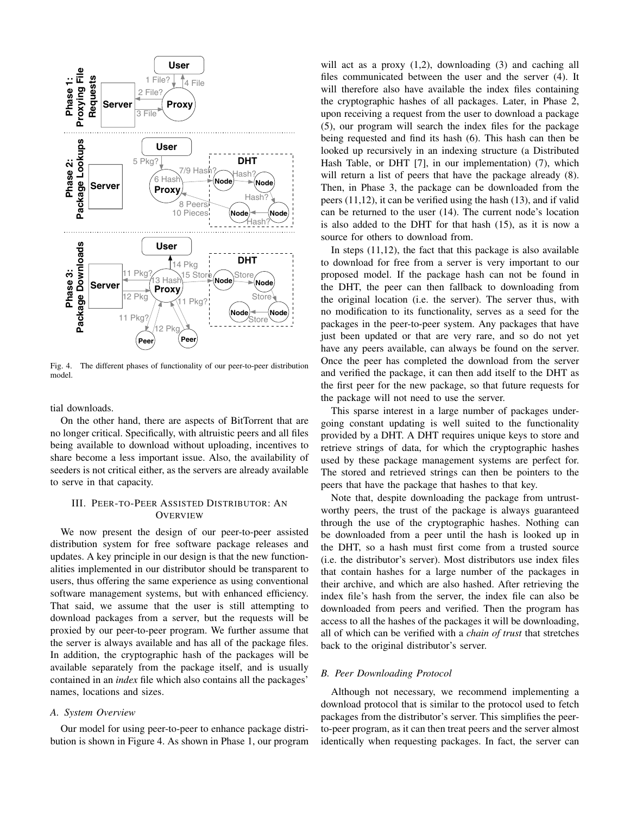

Fig. 4. The different phases of functionality of our peer-to-peer distribution model

tial downloads.

On the other hand, there are aspects of BitTorrent that are no longer critical. Specifically, with altruistic peers and all files being available to download without uploading, incentives to share become a less important issue. Also, the availability of seeders is not critical either, as the servers are already available to serve in that capacity.

# III. PEER-TO-PEER ASSISTED DISTRIBUTOR: AN **OVERVIEW**

We now present the design of our peer-to-peer assisted distribution system for free software package releases and updates. A key principle in our design is that the new functionalities implemented in our distributor should be transparent to users, thus offering the same experience as using conventional software management systems, but with enhanced efficiency. That said, we assume that the user is still attempting to download packages from a server, but the requests will be proxied by our peer-to-peer program. We further assume that the server is always available and has all of the package files. In addition, the cryptographic hash of the packages will be available separately from the package itself, and is usually contained in an *index* file which also contains all the packages' names, locations and sizes.

## *A. System Overview*

Our model for using peer-to-peer to enhance package distribution is shown in Figure 4. As shown in Phase 1, our program

will act as a proxy  $(1,2)$ , downloading  $(3)$  and caching all files communicated between the user and the server (4). It will therefore also have available the index files containing the cryptographic hashes of all packages. Later, in Phase 2, upon receiving a request from the user to download a package (5), our program will search the index files for the package being requested and find its hash (6). This hash can then be looked up recursively in an indexing structure (a Distributed Hash Table, or DHT [7], in our implementation) (7), which will return a list of peers that have the package already  $(8)$ . Then, in Phase 3, the package can be downloaded from the peers (11,12), it can be verified using the hash (13), and if valid can be returned to the user (14). The current node's location is also added to the DHT for that hash (15), as it is now a source for others to download from.

In steps  $(11,12)$ , the fact that this package is also available to download for free from a server is very important to our proposed model. If the package hash can not be found in the DHT, the peer can then fallback to downloading from the original location (i.e. the server). The server thus, with no modification to its functionality, serves as a seed for the packages in the peer-to-peer system. Any packages that have just been updated or that are very rare, and so do not yet have any peers available, can always be found on the server. Once the peer has completed the download from the server and verified the package, it can then add itself to the DHT as the first peer for the new package, so that future requests for the package will not need to use the server.

This sparse interest in a large number of packages undergoing constant updating is well suited to the functionality provided by a DHT. A DHT requires unique keys to store and retrieve strings of data, for which the cryptographic hashes used by these package management systems are perfect for. The stored and retrieved strings can then be pointers to the peers that have the package that hashes to that key.

Note that, despite downloading the package from untrustworthy peers, the trust of the package is always guaranteed through the use of the cryptographic hashes. Nothing can be downloaded from a peer until the hash is looked up in the DHT, so a hash must first come from a trusted source (i.e. the distributor's server). Most distributors use index files that contain hashes for a large number of the packages in their archive, and which are also hashed. After retrieving the index file's hash from the server, the index file can also be downloaded from peers and verified. Then the program has access to all the hashes of the packages it will be downloading, all of which can be verified with a *chain of trust* that stretches back to the original distributor's server.

#### *B. Peer Downloading Protocol*

Although not necessary, we recommend implementing a download protocol that is similar to the protocol used to fetch packages from the distributor's server. This simplifies the peerto-peer program, as it can then treat peers and the server almost identically when requesting packages. In fact, the server can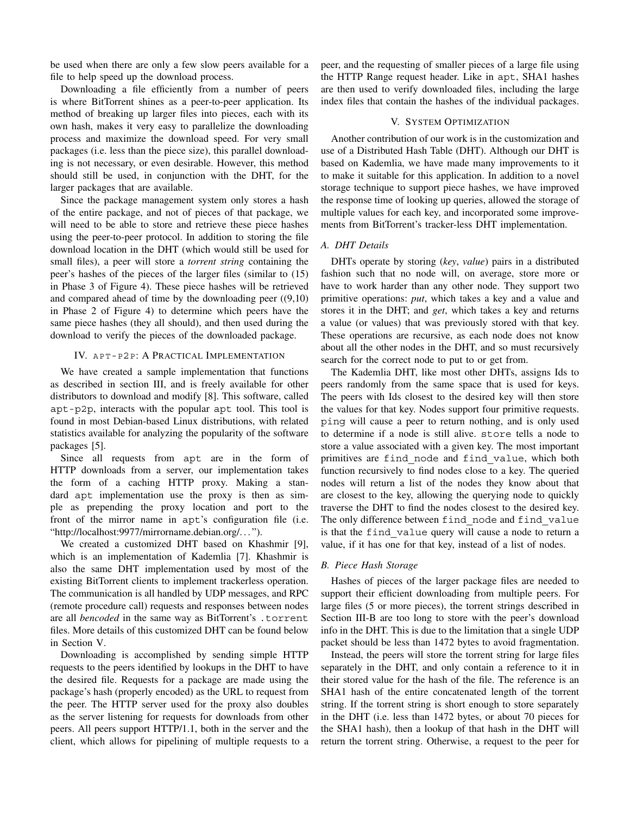be used when there are only a few slow peers available for a file to help speed up the download process.

Downloading a file efficiently from a number of peers is where BitTorrent shines as a peer-to-peer application. Its method of breaking up larger files into pieces, each with its own hash, makes it very easy to parallelize the downloading process and maximize the download speed. For very small packages (i.e. less than the piece size), this parallel downloading is not necessary, or even desirable. However, this method should still be used, in conjunction with the DHT, for the larger packages that are available.

Since the package management system only stores a hash of the entire package, and not of pieces of that package, we will need to be able to store and retrieve these piece hashes using the peer-to-peer protocol. In addition to storing the file download location in the DHT (which would still be used for small files), a peer will store a *torrent string* containing the peer's hashes of the pieces of the larger files (similar to (15) in Phase 3 of Figure 4). These piece hashes will be retrieved and compared ahead of time by the downloading peer ((9,10) in Phase 2 of Figure 4) to determine which peers have the same piece hashes (they all should), and then used during the download to verify the pieces of the downloaded package.

## IV. APT-P2P: A PRACTICAL IMPLEMENTATION

We have created a sample implementation that functions as described in section III, and is freely available for other distributors to download and modify [8]. This software, called apt-p2p, interacts with the popular apt tool. This tool is found in most Debian-based Linux distributions, with related statistics available for analyzing the popularity of the software packages [5].

Since all requests from apt are in the form of HTTP downloads from a server, our implementation takes the form of a caching HTTP proxy. Making a standard apt implementation use the proxy is then as simple as prepending the proxy location and port to the front of the mirror name in apt's configuration file (i.e. "http://localhost:9977/mirrorname.debian.org/. . . ").

We created a customized DHT based on Khashmir [9], which is an implementation of Kademlia [7]. Khashmir is also the same DHT implementation used by most of the existing BitTorrent clients to implement trackerless operation. The communication is all handled by UDP messages, and RPC (remote procedure call) requests and responses between nodes are all *bencoded* in the same way as BitTorrent's .torrent files. More details of this customized DHT can be found below in Section V.

Downloading is accomplished by sending simple HTTP requests to the peers identified by lookups in the DHT to have the desired file. Requests for a package are made using the package's hash (properly encoded) as the URL to request from the peer. The HTTP server used for the proxy also doubles as the server listening for requests for downloads from other peers. All peers support HTTP/1.1, both in the server and the client, which allows for pipelining of multiple requests to a peer, and the requesting of smaller pieces of a large file using the HTTP Range request header. Like in apt, SHA1 hashes are then used to verify downloaded files, including the large index files that contain the hashes of the individual packages.

# V. SYSTEM OPTIMIZATION

Another contribution of our work is in the customization and use of a Distributed Hash Table (DHT). Although our DHT is based on Kademlia, we have made many improvements to it to make it suitable for this application. In addition to a novel storage technique to support piece hashes, we have improved the response time of looking up queries, allowed the storage of multiple values for each key, and incorporated some improvements from BitTorrent's tracker-less DHT implementation.

## *A. DHT Details*

DHTs operate by storing (*key*, *value*) pairs in a distributed fashion such that no node will, on average, store more or have to work harder than any other node. They support two primitive operations: *put*, which takes a key and a value and stores it in the DHT; and *get*, which takes a key and returns a value (or values) that was previously stored with that key. These operations are recursive, as each node does not know about all the other nodes in the DHT, and so must recursively search for the correct node to put to or get from.

The Kademlia DHT, like most other DHTs, assigns Ids to peers randomly from the same space that is used for keys. The peers with Ids closest to the desired key will then store the values for that key. Nodes support four primitive requests. ping will cause a peer to return nothing, and is only used to determine if a node is still alive. store tells a node to store a value associated with a given key. The most important primitives are find\_node and find\_value, which both function recursively to find nodes close to a key. The queried nodes will return a list of the nodes they know about that are closest to the key, allowing the querying node to quickly traverse the DHT to find the nodes closest to the desired key. The only difference between find node and find value is that the find\_value query will cause a node to return a value, if it has one for that key, instead of a list of nodes.

## *B. Piece Hash Storage*

Hashes of pieces of the larger package files are needed to support their efficient downloading from multiple peers. For large files (5 or more pieces), the torrent strings described in Section III-B are too long to store with the peer's download info in the DHT. This is due to the limitation that a single UDP packet should be less than 1472 bytes to avoid fragmentation.

Instead, the peers will store the torrent string for large files separately in the DHT, and only contain a reference to it in their stored value for the hash of the file. The reference is an SHA1 hash of the entire concatenated length of the torrent string. If the torrent string is short enough to store separately in the DHT (i.e. less than 1472 bytes, or about 70 pieces for the SHA1 hash), then a lookup of that hash in the DHT will return the torrent string. Otherwise, a request to the peer for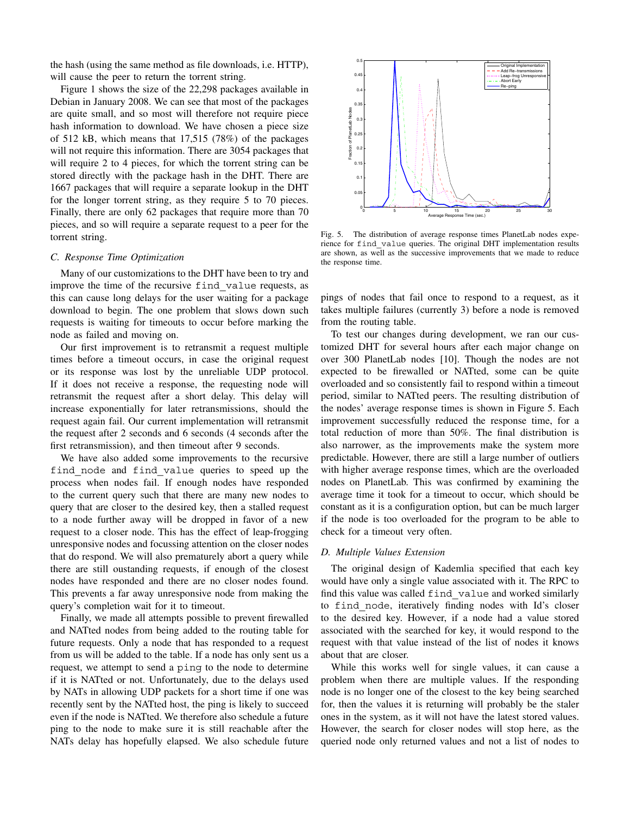the hash (using the same method as file downloads, i.e. HTTP), will cause the peer to return the torrent string.

Figure 1 shows the size of the 22,298 packages available in Debian in January 2008. We can see that most of the packages are quite small, and so most will therefore not require piece hash information to download. We have chosen a piece size of 512 kB, which means that 17,515 (78%) of the packages will not require this information. There are 3054 packages that will require 2 to 4 pieces, for which the torrent string can be stored directly with the package hash in the DHT. There are 1667 packages that will require a separate lookup in the DHT for the longer torrent string, as they require 5 to 70 pieces. Finally, there are only 62 packages that require more than 70 pieces, and so will require a separate request to a peer for the torrent string.

#### *C. Response Time Optimization*

Many of our customizations to the DHT have been to try and improve the time of the recursive find\_value requests, as this can cause long delays for the user waiting for a package download to begin. The one problem that slows down such requests is waiting for timeouts to occur before marking the node as failed and moving on.

Our first improvement is to retransmit a request multiple times before a timeout occurs, in case the original request or its response was lost by the unreliable UDP protocol. If it does not receive a response, the requesting node will retransmit the request after a short delay. This delay will increase exponentially for later retransmissions, should the request again fail. Our current implementation will retransmit the request after 2 seconds and 6 seconds (4 seconds after the first retransmission), and then timeout after 9 seconds.

We have also added some improvements to the recursive find\_node and find\_value queries to speed up the process when nodes fail. If enough nodes have responded to the current query such that there are many new nodes to query that are closer to the desired key, then a stalled request to a node further away will be dropped in favor of a new request to a closer node. This has the effect of leap-frogging unresponsive nodes and focussing attention on the closer nodes that do respond. We will also prematurely abort a query while there are still oustanding requests, if enough of the closest nodes have responded and there are no closer nodes found. This prevents a far away unresponsive node from making the query's completion wait for it to timeout.

Finally, we made all attempts possible to prevent firewalled and NATted nodes from being added to the routing table for future requests. Only a node that has responded to a request from us will be added to the table. If a node has only sent us a request, we attempt to send a ping to the node to determine if it is NATted or not. Unfortunately, due to the delays used by NATs in allowing UDP packets for a short time if one was recently sent by the NATted host, the ping is likely to succeed even if the node is NATted. We therefore also schedule a future ping to the node to make sure it is still reachable after the NATs delay has hopefully elapsed. We also schedule future



Fig. 5. The distribution of average response times PlanetLab nodes experience for find\_value queries. The original DHT implementation results are shown, as well as the successive improvements that we made to reduce the response time.

pings of nodes that fail once to respond to a request, as it takes multiple failures (currently 3) before a node is removed from the routing table.

To test our changes during development, we ran our customized DHT for several hours after each major change on over 300 PlanetLab nodes [10]. Though the nodes are not expected to be firewalled or NATted, some can be quite overloaded and so consistently fail to respond within a timeout period, similar to NATted peers. The resulting distribution of the nodes' average response times is shown in Figure 5. Each improvement successfully reduced the response time, for a total reduction of more than 50%. The final distribution is also narrower, as the improvements make the system more predictable. However, there are still a large number of outliers with higher average response times, which are the overloaded nodes on PlanetLab. This was confirmed by examining the average time it took for a timeout to occur, which should be constant as it is a configuration option, but can be much larger if the node is too overloaded for the program to be able to check for a timeout very often.

## *D. Multiple Values Extension*

The original design of Kademlia specified that each key would have only a single value associated with it. The RPC to find this value was called find\_value and worked similarly to find\_node, iteratively finding nodes with Id's closer to the desired key. However, if a node had a value stored associated with the searched for key, it would respond to the request with that value instead of the list of nodes it knows about that are closer.

While this works well for single values, it can cause a problem when there are multiple values. If the responding node is no longer one of the closest to the key being searched for, then the values it is returning will probably be the staler ones in the system, as it will not have the latest stored values. However, the search for closer nodes will stop here, as the queried node only returned values and not a list of nodes to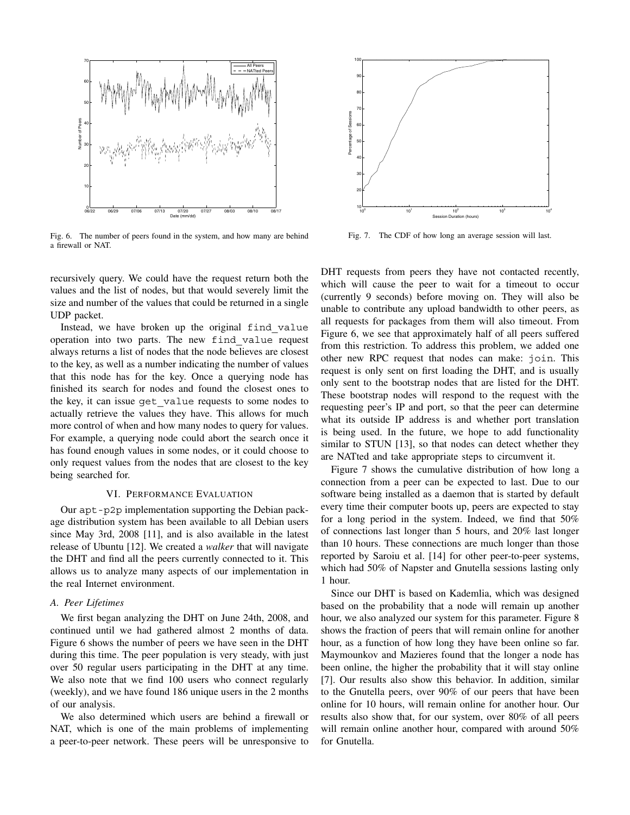

Fig. 6. The number of peers found in the system, and how many are behind a firewall or NAT.

recursively query. We could have the request return both the values and the list of nodes, but that would severely limit the size and number of the values that could be returned in a single UDP packet.

Instead, we have broken up the original find\_value operation into two parts. The new find\_value request always returns a list of nodes that the node believes are closest to the key, as well as a number indicating the number of values that this node has for the key. Once a querying node has finished its search for nodes and found the closest ones to the key, it can issue get\_value requests to some nodes to actually retrieve the values they have. This allows for much more control of when and how many nodes to query for values. For example, a querying node could abort the search once it has found enough values in some nodes, or it could choose to only request values from the nodes that are closest to the key being searched for.

## VI. PERFORMANCE EVALUATION

Our apt-p2p implementation supporting the Debian package distribution system has been available to all Debian users since May 3rd, 2008 [11], and is also available in the latest release of Ubuntu [12]. We created a *walker* that will navigate the DHT and find all the peers currently connected to it. This allows us to analyze many aspects of our implementation in the real Internet environment.

#### *A. Peer Lifetimes*

We first began analyzing the DHT on June 24th, 2008, and continued until we had gathered almost 2 months of data. Figure 6 shows the number of peers we have seen in the DHT during this time. The peer population is very steady, with just over 50 regular users participating in the DHT at any time. We also note that we find 100 users who connect regularly (weekly), and we have found 186 unique users in the 2 months of our analysis.

We also determined which users are behind a firewall or NAT, which is one of the main problems of implementing a peer-to-peer network. These peers will be unresponsive to



Fig. 7. The CDF of how long an average session will last.

DHT requests from peers they have not contacted recently, which will cause the peer to wait for a timeout to occur (currently 9 seconds) before moving on. They will also be unable to contribute any upload bandwidth to other peers, as all requests for packages from them will also timeout. From Figure 6, we see that approximately half of all peers suffered from this restriction. To address this problem, we added one other new RPC request that nodes can make: join. This request is only sent on first loading the DHT, and is usually only sent to the bootstrap nodes that are listed for the DHT. These bootstrap nodes will respond to the request with the requesting peer's IP and port, so that the peer can determine what its outside IP address is and whether port translation is being used. In the future, we hope to add functionality similar to STUN [13], so that nodes can detect whether they are NATted and take appropriate steps to circumvent it.

Figure 7 shows the cumulative distribution of how long a connection from a peer can be expected to last. Due to our software being installed as a daemon that is started by default every time their computer boots up, peers are expected to stay for a long period in the system. Indeed, we find that 50% of connections last longer than 5 hours, and 20% last longer than 10 hours. These connections are much longer than those reported by Saroiu et al. [14] for other peer-to-peer systems, which had 50% of Napster and Gnutella sessions lasting only 1 hour.

Since our DHT is based on Kademlia, which was designed based on the probability that a node will remain up another hour, we also analyzed our system for this parameter. Figure 8 shows the fraction of peers that will remain online for another hour, as a function of how long they have been online so far. Maymounkov and Mazieres found that the longer a node has been online, the higher the probability that it will stay online [7]. Our results also show this behavior. In addition, similar to the Gnutella peers, over 90% of our peers that have been online for 10 hours, will remain online for another hour. Our results also show that, for our system, over 80% of all peers will remain online another hour, compared with around 50% for Gnutella.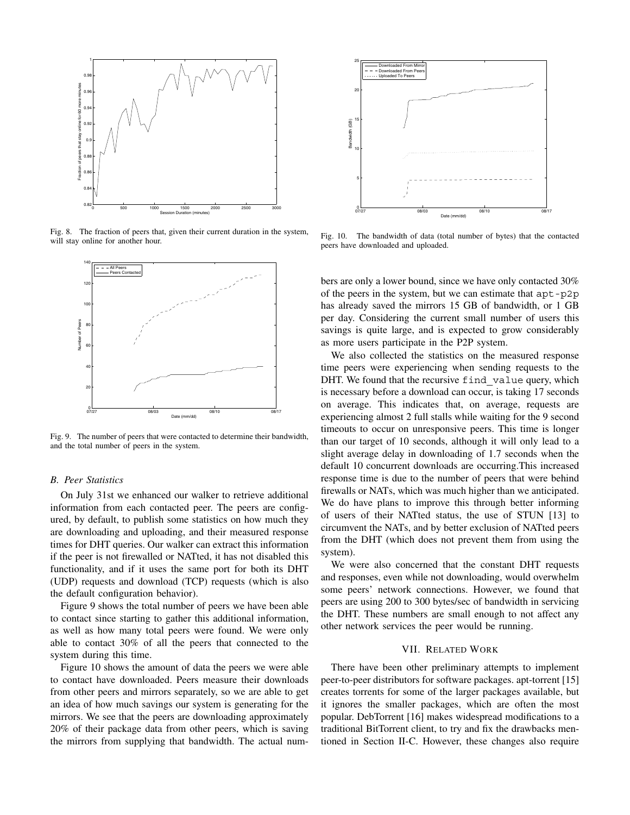

Fig. 8. The fraction of peers that, given their current duration in the system, will stay online for another hour.



Fig. 9. The number of peers that were contacted to determine their bandwidth, and the total number of peers in the system.

#### *B. Peer Statistics*

On July 31st we enhanced our walker to retrieve additional information from each contacted peer. The peers are configured, by default, to publish some statistics on how much they are downloading and uploading, and their measured response times for DHT queries. Our walker can extract this information if the peer is not firewalled or NATted, it has not disabled this functionality, and if it uses the same port for both its DHT (UDP) requests and download (TCP) requests (which is also the default configuration behavior).

Figure 9 shows the total number of peers we have been able to contact since starting to gather this additional information, as well as how many total peers were found. We were only able to contact 30% of all the peers that connected to the system during this time.

Figure 10 shows the amount of data the peers we were able to contact have downloaded. Peers measure their downloads from other peers and mirrors separately, so we are able to get an idea of how much savings our system is generating for the mirrors. We see that the peers are downloading approximately 20% of their package data from other peers, which is saving the mirrors from supplying that bandwidth. The actual num-



Fig. 10. The bandwidth of data (total number of bytes) that the contacted peers have downloaded and uploaded.

bers are only a lower bound, since we have only contacted 30% of the peers in the system, but we can estimate that apt-p2p has already saved the mirrors 15 GB of bandwidth, or 1 GB per day. Considering the current small number of users this savings is quite large, and is expected to grow considerably as more users participate in the P2P system.

We also collected the statistics on the measured response time peers were experiencing when sending requests to the DHT. We found that the recursive find value query, which is necessary before a download can occur, is taking 17 seconds on average. This indicates that, on average, requests are experiencing almost 2 full stalls while waiting for the 9 second timeouts to occur on unresponsive peers. This time is longer than our target of 10 seconds, although it will only lead to a slight average delay in downloading of 1.7 seconds when the default 10 concurrent downloads are occurring.This increased response time is due to the number of peers that were behind firewalls or NATs, which was much higher than we anticipated. We do have plans to improve this through better informing of users of their NATted status, the use of STUN [13] to circumvent the NATs, and by better exclusion of NATted peers from the DHT (which does not prevent them from using the system).

We were also concerned that the constant DHT requests and responses, even while not downloading, would overwhelm some peers' network connections. However, we found that peers are using 200 to 300 bytes/sec of bandwidth in servicing the DHT. These numbers are small enough to not affect any other network services the peer would be running.

## VII. RELATED WORK

There have been other preliminary attempts to implement peer-to-peer distributors for software packages. apt-torrent [15] creates torrents for some of the larger packages available, but it ignores the smaller packages, which are often the most popular. DebTorrent [16] makes widespread modifications to a traditional BitTorrent client, to try and fix the drawbacks mentioned in Section II-C. However, these changes also require